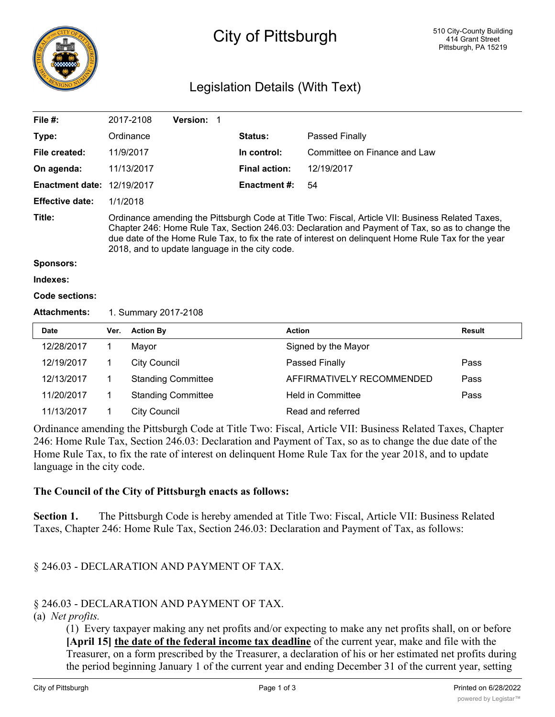

# City of Pittsburgh

## Legislation Details (With Text)

| File $#$ :             |                                                                                                                                                                                                                                                                                                                                                               | 2017-2108           | Version: 1                |  |                      |                              |               |
|------------------------|---------------------------------------------------------------------------------------------------------------------------------------------------------------------------------------------------------------------------------------------------------------------------------------------------------------------------------------------------------------|---------------------|---------------------------|--|----------------------|------------------------------|---------------|
| Type:                  |                                                                                                                                                                                                                                                                                                                                                               | Ordinance           |                           |  | Status:              | Passed Finally               |               |
| File created:          |                                                                                                                                                                                                                                                                                                                                                               | 11/9/2017           |                           |  | In control:          | Committee on Finance and Law |               |
| On agenda:             |                                                                                                                                                                                                                                                                                                                                                               | 11/13/2017          |                           |  | <b>Final action:</b> | 12/19/2017                   |               |
| <b>Enactment date:</b> |                                                                                                                                                                                                                                                                                                                                                               | 12/19/2017          |                           |  | <b>Enactment #:</b>  | 54                           |               |
| <b>Effective date:</b> | 1/1/2018                                                                                                                                                                                                                                                                                                                                                      |                     |                           |  |                      |                              |               |
| Title:                 | Ordinance amending the Pittsburgh Code at Title Two: Fiscal, Article VII: Business Related Taxes,<br>Chapter 246: Home Rule Tax, Section 246.03: Declaration and Payment of Tax, so as to change the<br>due date of the Home Rule Tax, to fix the rate of interest on delinguent Home Rule Tax for the year<br>2018, and to update language in the city code. |                     |                           |  |                      |                              |               |
| Sponsors:              |                                                                                                                                                                                                                                                                                                                                                               |                     |                           |  |                      |                              |               |
| Indexes:               |                                                                                                                                                                                                                                                                                                                                                               |                     |                           |  |                      |                              |               |
| Code sections:         |                                                                                                                                                                                                                                                                                                                                                               |                     |                           |  |                      |                              |               |
| <b>Attachments:</b>    | 1. Summary 2017-2108                                                                                                                                                                                                                                                                                                                                          |                     |                           |  |                      |                              |               |
| Date                   | Ver.                                                                                                                                                                                                                                                                                                                                                          | <b>Action By</b>    |                           |  |                      | <b>Action</b>                | <b>Result</b> |
| 12/28/2017             | 1                                                                                                                                                                                                                                                                                                                                                             | Mayor               |                           |  |                      | Signed by the Mayor          |               |
| 12/19/2017             | 1                                                                                                                                                                                                                                                                                                                                                             | <b>City Council</b> |                           |  |                      | Passed Finally               | Pass          |
| 12/13/2017             | 1                                                                                                                                                                                                                                                                                                                                                             |                     | <b>Standing Committee</b> |  |                      | AFFIRMATIVELY RECOMMENDED    | Pass          |
| 11/20/2017             | 1                                                                                                                                                                                                                                                                                                                                                             |                     | <b>Standing Committee</b> |  |                      | <b>Held in Committee</b>     | Pass          |
| 11/13/2017             | 1                                                                                                                                                                                                                                                                                                                                                             | <b>City Council</b> |                           |  |                      | Read and referred            |               |

Ordinance amending the Pittsburgh Code at Title Two: Fiscal, Article VII: Business Related Taxes, Chapter 246: Home Rule Tax, Section 246.03: Declaration and Payment of Tax, so as to change the due date of the Home Rule Tax, to fix the rate of interest on delinquent Home Rule Tax for the year 2018, and to update language in the city code.

#### **The Council of the City of Pittsburgh enacts as follows:**

**Section 1.** The Pittsburgh Code is hereby amended at Title Two: Fiscal, Article VII: Business Related Taxes, Chapter 246: Home Rule Tax, Section 246.03: Declaration and Payment of Tax, as follows:

### § 246.03 - DECLARATION AND PAYMENT OF TAX.

#### § 246.03 - DECLARATION AND PAYMENT OF TAX.

#### (a) *Net profits.*

(1) Every taxpayer making any net profits and/or expecting to make any net profits shall, on or before **[April 15] the date of the federal income tax deadline** of the current year, make and file with the Treasurer, on a form prescribed by the Treasurer, a declaration of his or her estimated net profits during the period beginning January 1 of the current year and ending December 31 of the current year, setting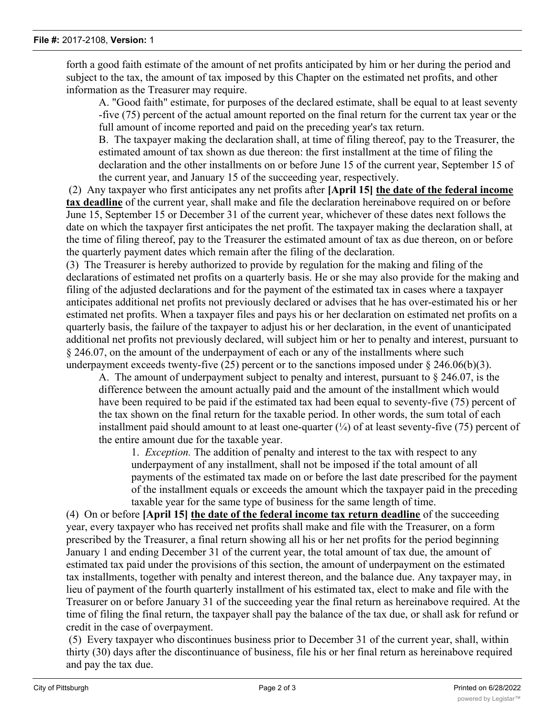forth a good faith estimate of the amount of net profits anticipated by him or her during the period and subject to the tax, the amount of tax imposed by this Chapter on the estimated net profits, and other information as the Treasurer may require.

A. "Good faith" estimate, for purposes of the declared estimate, shall be equal to at least seventy -five (75) percent of the actual amount reported on the final return for the current tax year or the full amount of income reported and paid on the preceding year's tax return.

B. The taxpayer making the declaration shall, at time of filing thereof, pay to the Treasurer, the estimated amount of tax shown as due thereon: the first installment at the time of filing the declaration and the other installments on or before June 15 of the current year, September 15 of the current year, and January 15 of the succeeding year, respectively.

 (2) Any taxpayer who first anticipates any net profits after **[April 15] the date of the federal income tax deadline** of the current year, shall make and file the declaration hereinabove required on or before June 15, September 15 or December 31 of the current year, whichever of these dates next follows the date on which the taxpayer first anticipates the net profit. The taxpayer making the declaration shall, at the time of filing thereof, pay to the Treasurer the estimated amount of tax as due thereon, on or before the quarterly payment dates which remain after the filing of the declaration.

(3) The Treasurer is hereby authorized to provide by regulation for the making and filing of the declarations of estimated net profits on a quarterly basis. He or she may also provide for the making and filing of the adjusted declarations and for the payment of the estimated tax in cases where a taxpayer anticipates additional net profits not previously declared or advises that he has over-estimated his or her estimated net profits. When a taxpayer files and pays his or her declaration on estimated net profits on a quarterly basis, the failure of the taxpayer to adjust his or her declaration, in the event of unanticipated additional net profits not previously declared, will subject him or her to penalty and interest, pursuant to § 246.07, on the amount of the underpayment of each or any of the installments where such underpayment exceeds twenty-five (25) percent or to the sanctions imposed under  $\S$  246.06(b)(3).

A. The amount of underpayment subject to penalty and interest, pursuant to § 246.07, is the difference between the amount actually paid and the amount of the installment which would have been required to be paid if the estimated tax had been equal to seventy-five (75) percent of the tax shown on the final return for the taxable period. In other words, the sum total of each installment paid should amount to at least one-quarter  $(\frac{1}{4})$  of at least seventy-five (75) percent of the entire amount due for the taxable year.

1. *Exception.* The addition of penalty and interest to the tax with respect to any underpayment of any installment, shall not be imposed if the total amount of all payments of the estimated tax made on or before the last date prescribed for the payment of the installment equals or exceeds the amount which the taxpayer paid in the preceding taxable year for the same type of business for the same length of time.

(4) On or before **[April 15] the date of the federal income tax return deadline** of the succeeding year, every taxpayer who has received net profits shall make and file with the Treasurer, on a form prescribed by the Treasurer, a final return showing all his or her net profits for the period beginning January 1 and ending December 31 of the current year, the total amount of tax due, the amount of estimated tax paid under the provisions of this section, the amount of underpayment on the estimated tax installments, together with penalty and interest thereon, and the balance due. Any taxpayer may, in lieu of payment of the fourth quarterly installment of his estimated tax, elect to make and file with the Treasurer on or before January 31 of the succeeding year the final return as hereinabove required. At the time of filing the final return, the taxpayer shall pay the balance of the tax due, or shall ask for refund or credit in the case of overpayment.

 (5) Every taxpayer who discontinues business prior to December 31 of the current year, shall, within thirty (30) days after the discontinuance of business, file his or her final return as hereinabove required and pay the tax due.